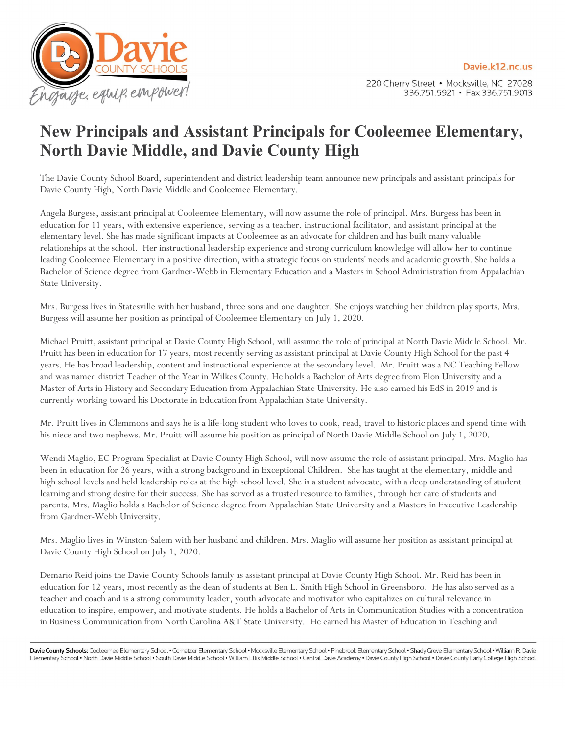Davie.k12.nc.us



220 Cherry Street . Mocksville, NC 27028 336.751.5921 • Fax 336.751.9013

## **New Principals and Assistant Principals for Cooleemee Elementary, North Davie Middle, and Davie County High**

The Davie County School Board, superintendent and district leadership team announce new principals and assistant principals for Davie County High, North Davie Middle and Cooleemee Elementary.

Angela Burgess, assistant principal at Cooleemee Elementary, will now assume the role of principal. Mrs. Burgess has been in education for 11 years, with extensive experience, serving as a teacher, instructional facilitator, and assistant principal at the elementary level. She has made significant impacts at Cooleemee as an advocate for children and has built many valuable relationships at the school. Her instructional leadership experience and strong curriculum knowledge will allow her to continue leading Cooleemee Elementary in a positive direction, with a strategic focus on students' needs and academic growth. She holds a Bachelor of Science degree from Gardner-Webb in Elementary Education and a Masters in School Administration from Appalachian State University.

Mrs. Burgess lives in Statesville with her husband, three sons and one daughter. She enjoys watching her children play sports. Mrs. Burgess will assume her position as principal of Cooleemee Elementary on July 1, 2020.

Michael Pruitt, assistant principal at Davie County High School, will assume the role of principal at North Davie Middle School. Mr. Pruitt has been in education for 17 years, most recently serving as assistant principal at Davie County High School for the past 4 years. He has broad leadership, content and instructional experience at the secondary level. Mr. Pruitt was a NC Teaching Fellow and was named district Teacher of the Year in Wilkes County. He holds a Bachelor of Arts degree from Elon University and a Master of Arts in History and Secondary Education from Appalachian State University. He also earned his EdS in 2019 and is currently working toward his Doctorate in Education from Appalachian State University.

Mr. Pruitt lives in Clemmons and says he is a life-long student who loves to cook, read, travel to historic places and spend time with his niece and two nephews. Mr. Pruitt will assume his position as principal of North Davie Middle School on July 1, 2020.

Wendi Maglio, EC Program Specialist at Davie County High School, will now assume the role of assistant principal. Mrs. Maglio has been in education for 26 years, with a strong background in Exceptional Children. She has taught at the elementary, middle and high school levels and held leadership roles at the high school level. She is a student advocate, with a deep understanding of student learning and strong desire for their success. She has served as a trusted resource to families, through her care of students and parents. Mrs. Maglio holds a Bachelor of Science degree from Appalachian State University and a Masters in Executive Leadership from Gardner-Webb University.

Mrs. Maglio lives in Winston-Salem with her husband and children. Mrs. Maglio will assume her position as assistant principal at Davie County High School on July 1, 2020.

Demario Reid joins the Davie County Schools family as assistant principal at Davie County High School. Mr. Reid has been in education for 12 years, most recently as the dean of students at Ben L. Smith High School in Greensboro. He has also served as a teacher and coach and is a strong community leader, youth advocate and motivator who capitalizes on cultural relevance in education to inspire, empower, and motivate students. He holds a Bachelor of Arts in Communication Studies with a concentration in Business Communication from North Carolina A&T State University. He earned his Master of Education in Teaching and

Davie County Schools: Cooleemee Elementary School . Cornatzer Elementary School . Mocksville Elementary School . Pinebrook Elementary School . Shady Grove Elementary School . William R. Davie Elementary School . North Davie Middle School . South Davie Middle School . William Ellis Middle School . Central Davie Academy . Davie County High School . Davie County Early College High School